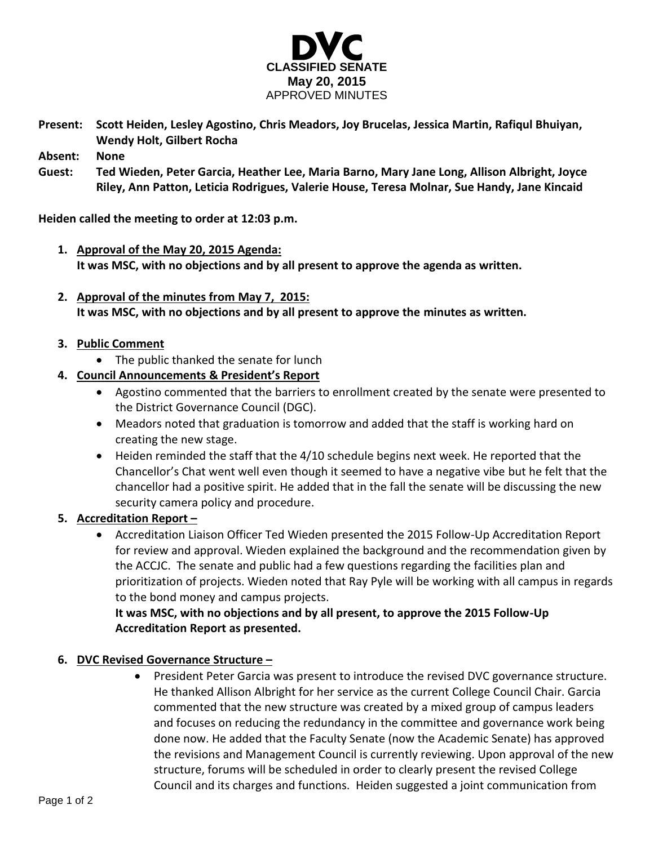

**Present: Scott Heiden, Lesley Agostino, Chris Meadors, Joy Brucelas, Jessica Martin, Rafiqul Bhuiyan, Wendy Holt, Gilbert Rocha**

**Absent: None**

**Guest: Ted Wieden, Peter Garcia, Heather Lee, Maria Barno, Mary Jane Long, Allison Albright, Joyce Riley, Ann Patton, Leticia Rodrigues, Valerie House, Teresa Molnar, Sue Handy, Jane Kincaid**

**Heiden called the meeting to order at 12:03 p.m.**

- **1. Approval of the May 20, 2015 Agenda: It was MSC, with no objections and by all present to approve the agenda as written.**
- **2. Approval of the minutes from May 7, 2015: It was MSC, with no objections and by all present to approve the minutes as written.**

### **3. Public Comment**

- The public thanked the senate for lunch
- **4. Council Announcements & President's Report**
	- Agostino commented that the barriers to enrollment created by the senate were presented to the District Governance Council (DGC).
	- Meadors noted that graduation is tomorrow and added that the staff is working hard on creating the new stage.
	- $\bullet$  Heiden reminded the staff that the 4/10 schedule begins next week. He reported that the Chancellor's Chat went well even though it seemed to have a negative vibe but he felt that the chancellor had a positive spirit. He added that in the fall the senate will be discussing the new security camera policy and procedure.

### **5. Accreditation Report –**

 Accreditation Liaison Officer Ted Wieden presented the 2015 Follow-Up Accreditation Report for review and approval. Wieden explained the background and the recommendation given by the ACCJC. The senate and public had a few questions regarding the facilities plan and prioritization of projects. Wieden noted that Ray Pyle will be working with all campus in regards to the bond money and campus projects.

**It was MSC, with no objections and by all present, to approve the 2015 Follow-Up Accreditation Report as presented.** 

### **6. DVC Revised Governance Structure –**

 President Peter Garcia was present to introduce the revised DVC governance structure. He thanked Allison Albright for her service as the current College Council Chair. Garcia commented that the new structure was created by a mixed group of campus leaders and focuses on reducing the redundancy in the committee and governance work being done now. He added that the Faculty Senate (now the Academic Senate) has approved the revisions and Management Council is currently reviewing. Upon approval of the new structure, forums will be scheduled in order to clearly present the revised College Council and its charges and functions. Heiden suggested a joint communication from